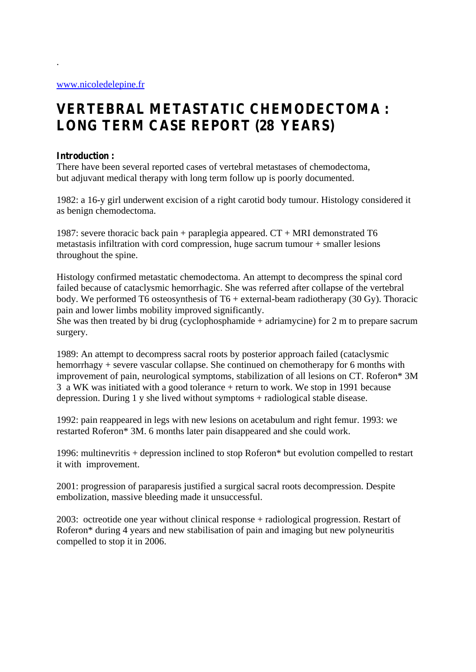## **VERTEBRAL METASTATIC CHEMODECTOMA : LONG TERM CASE REPORT (28 YEARS)**

## **Introduction :**

.

There have been several reported cases of vertebral metastases of chemodectoma, but adjuvant medical therapy with long term follow up is poorly documented.

1982: a 16-y girl underwent excision of a right carotid body tumour. Histology considered it as benign chemodectoma.

1987: severe thoracic back pain + paraplegia appeared.  $CT + MRI$  demonstrated T6 metastasis infiltration with cord compression, huge sacrum tumour + smaller lesions throughout the spine.

Histology confirmed metastatic chemodectoma. An attempt to decompress the spinal cord failed because of cataclysmic hemorrhagic. She was referred after collapse of the vertebral body. We performed T6 osteosynthesis of T6 + external-beam radiotherapy (30 Gy). Thoracic pain and lower limbs mobility improved significantly.

She was then treated by bi drug (cyclophosphamide  $+$  adriamycine) for 2 m to prepare sacrum surgery.

1989: An attempt to decompress sacral roots by posterior approach failed (cataclysmic hemorrhagy + severe vascular collapse. She continued on chemotherapy for 6 months with improvement of pain, neurological symptoms, stabilization of all lesions on CT. Roferon\* 3M 3 a WK was initiated with a good tolerance + return to work. We stop in 1991 because depression. During 1 y she lived without symptoms + radiological stable disease.

1992: pain reappeared in legs with new lesions on acetabulum and right femur. 1993: we restarted Roferon\* 3M. 6 months later pain disappeared and she could work.

1996: multinevritis + depression inclined to stop Roferon\* but evolution compelled to restart it with improvement.

2001: progression of paraparesis justified a surgical sacral roots decompression. Despite embolization, massive bleeding made it unsuccessful.

2003: octreotide one year without clinical response + radiological progression. Restart of Roferon\* during 4 years and new stabilisation of pain and imaging but new polyneuritis compelled to stop it in 2006.